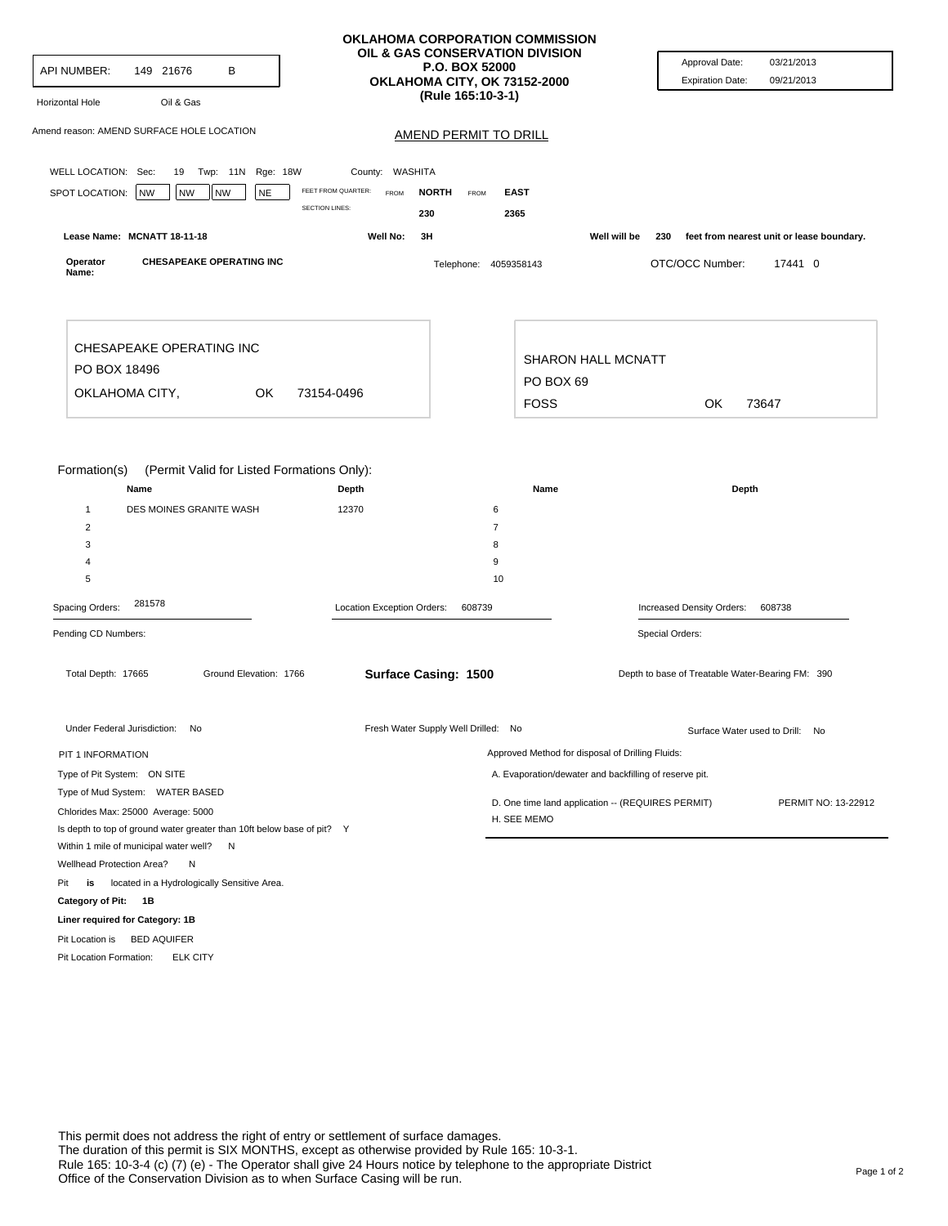| API NUMBER:<br>149 21676<br>в                                                   |                                                   | <b>OKLAHOMA CORPORATION COMMISSION</b><br>OIL & GAS CONSERVATION DIVISION<br><b>P.O. BOX 52000</b><br>OKLAHOMA CITY, OK 73152-2000 | Approval Date:<br>03/21/2013<br><b>Expiration Date:</b><br>09/21/2013 |
|---------------------------------------------------------------------------------|---------------------------------------------------|------------------------------------------------------------------------------------------------------------------------------------|-----------------------------------------------------------------------|
| Oil & Gas<br>Horizontal Hole                                                    |                                                   | (Rule 165:10-3-1)                                                                                                                  |                                                                       |
| Amend reason: AMEND SURFACE HOLE LOCATION                                       |                                                   | <b>AMEND PERMIT TO DRILL</b>                                                                                                       |                                                                       |
| WELL LOCATION: Sec:<br>19 Twp: 11N Rge: 18W                                     | County: WASHITA                                   |                                                                                                                                    |                                                                       |
| SPOT LOCATION:<br><b>NW</b><br><b>NE</b><br>NW<br><b>NW</b>                     | FEET FROM QUARTER:<br><b>FROM</b><br><b>NORTH</b> | FROM<br><b>EAST</b>                                                                                                                |                                                                       |
|                                                                                 | <b>SECTION LINES:</b><br>230                      | 2365                                                                                                                               |                                                                       |
| Lease Name: MCNATT 18-11-18                                                     | Well No:<br>3H                                    | Well will be                                                                                                                       | 230<br>feet from nearest unit or lease boundary.                      |
| <b>CHESAPEAKE OPERATING INC</b><br>Operator<br>Name:                            |                                                   | Telephone: 4059358143                                                                                                              | OTC/OCC Number:<br>17441 0                                            |
| CHESAPEAKE OPERATING INC                                                        |                                                   |                                                                                                                                    |                                                                       |
| PO BOX 18496                                                                    | <b>SHARON HALL MCNATT</b><br>PO BOX 69            |                                                                                                                                    |                                                                       |
| OKLAHOMA CITY,<br>0K                                                            | 73154-0496                                        | <b>FOSS</b>                                                                                                                        | OK<br>73647                                                           |
|                                                                                 |                                                   |                                                                                                                                    |                                                                       |
| Name<br>$\mathbf{1}$<br>DES MOINES GRANITE WASH<br>2<br>3<br>4<br>5             | Depth<br>12370                                    | Name<br>6<br>7<br>8<br>9<br>10                                                                                                     | Depth                                                                 |
| 281578<br>Spacing Orders:                                                       | Location Exception Orders:                        | 608739                                                                                                                             | Increased Density Orders:<br>608738                                   |
| Pending CD Numbers:                                                             |                                                   |                                                                                                                                    | Special Orders:                                                       |
| Total Depth: 17665<br>Ground Elevation: 1766                                    | Surface Casing: 1500                              |                                                                                                                                    | Depth to base of Treatable Water-Bearing FM: 390                      |
| Under Federal Jurisdiction: No                                                  | Fresh Water Supply Well Drilled: No               |                                                                                                                                    | Surface Water used to Drill: No                                       |
| PIT 1 INFORMATION                                                               |                                                   | Approved Method for disposal of Drilling Fluids:                                                                                   |                                                                       |
| Type of Pit System: ON SITE                                                     |                                                   | A. Evaporation/dewater and backfilling of reserve pit.                                                                             |                                                                       |
|                                                                                 |                                                   | D. One time land application -- (REQUIRES PERMIT)                                                                                  |                                                                       |
| Type of Mud System: WATER BASED                                                 |                                                   |                                                                                                                                    |                                                                       |
| Chlorides Max: 25000 Average: 5000                                              |                                                   | H. SEE MEMO                                                                                                                        |                                                                       |
| Is depth to top of ground water greater than 10ft below base of pit? Y          |                                                   |                                                                                                                                    |                                                                       |
| Within 1 mile of municipal water well? N                                        |                                                   |                                                                                                                                    |                                                                       |
| Wellhead Protection Area?<br>N                                                  |                                                   |                                                                                                                                    |                                                                       |
| located in a Hydrologically Sensitive Area.<br>Pit<br>is<br>Category of Pit: 1B |                                                   |                                                                                                                                    |                                                                       |
| Liner required for Category: 1B                                                 |                                                   |                                                                                                                                    |                                                                       |
| Pit Location is BED AQUIFER                                                     |                                                   |                                                                                                                                    | PERMIT NO: 13-22912                                                   |